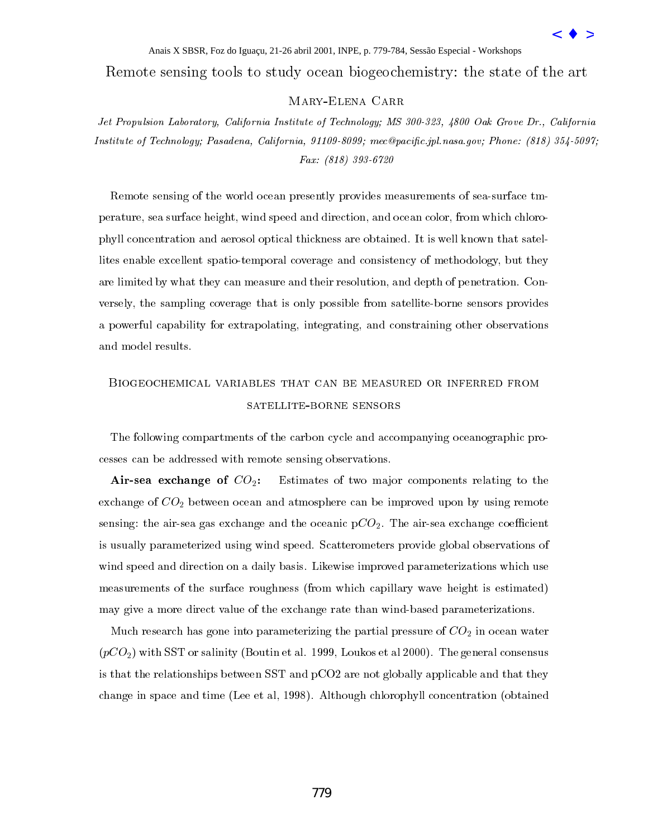## Remote sensing tools to study ocean biogeochemistry: the state of the art

### Mary-Elena Carr

Jet Propulsion Laboratory, California Institute of Technology; MS 300-323, 4800 Oak Grove Dr., California Institute of Technology; Pasadena, California, 91109-8099; mec@pacic.jpl.nasa.gov; Phone: (818) 354-5097; Fax: (818) 393-6720

Remote sensing of the world ocean presently provides measurements of sea-surface tmperature, sea surface height, wind speed and direction, and ocean color, from which chlorophyll concentration and aerosol optical thickness are obtained. It is well known that satellites enable excellent spatio-temporal coverage and consistency of methodology, but they are limited by what they can measure and their resolution, and depth of penetration. Conversely, the sampling coverage that is only possible from satellite-borne sensors provides a powerful capability for extrapolating, integrating, and constraining other observations and model results. Xessi X SBSR, For do Iguaçu, 21-26 abril 2001, INTE, p. 779-784, Sessão Especial - Workshops e e estissão Iguaçu, 21-26 abril 2002, UCE ENRA CARR (ACTES) - UCE ENRA CARR (ACTES) - UCE ENRA CARR (ACTES) - Workshops - Works

# Biogeochemical variables that can be measured or inferred from satellite borne sensors se

The following compartments of the carbon cycle and accompanying oceanographic processes can be addressed with remote sensing observations.

Air-sea exchange of  $CO_2$ : Estimates of two major components relating to the exchange of  $CO<sub>2</sub>$  between ocean and atmosphere can be improved upon by using remote sensing: the air-sea gas exchange and the oceanic  $pCO<sub>2</sub>$ . The air-sea exchange coefficient is usually parameterized using wind speed. Scatterometers provide global observations of wind speed and direction on a daily basis. Likewise improved parameterizations which use measurements of the surface roughness (from which capillary wave height is estimated) may give a more direct value of the exchange rate than wind-based parameterizations.

Much research has gone into parameterizing the partial pressure of  $CO<sub>2</sub>$  in ocean water  $(pCO<sub>2</sub>)$  with SST or salinity (Boutin et al. 1999, Loukos et al 2000). The general consensus is that the relationships between SST and pCO2 are not globally applicable and that they change in space and time (Lee et al, 1998). Although chlorophyll concentration (obtained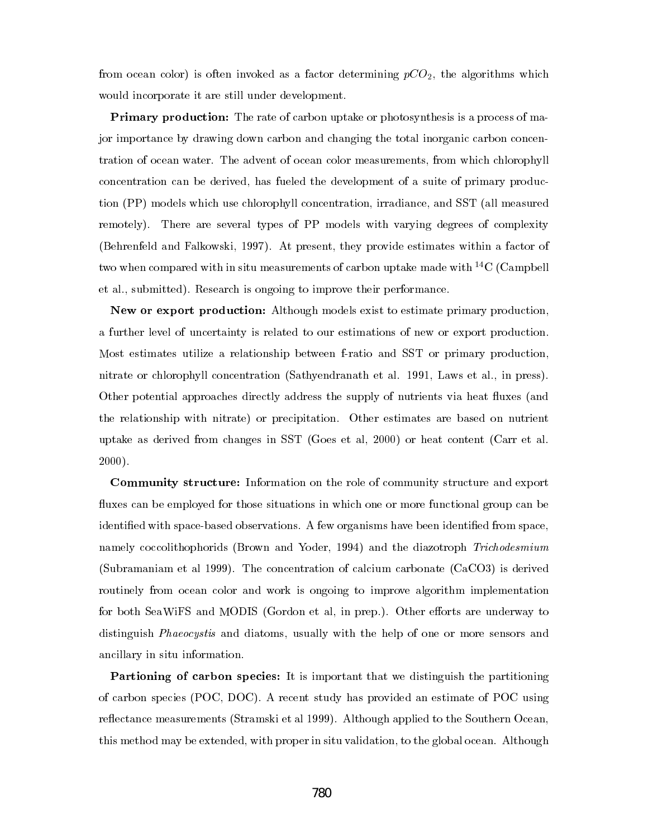from ocean color) is often invoked as a factor determining  $pCO<sub>2</sub>$ , the algorithms which would incorporate it are still under development.

Primary production: The rate of carbon uptake or photosynthesis is a process of major importance by drawing down carbon and changing the total inorganic carbon concentration of ocean water. The advent of ocean color measurements, from which chlorophyll concentration can be derived, has fueled the development of a suite of primary production (PP) models which use chlorophyll concentration, irradiance, and SST (all measured remotely). There are several types of PP models with varying degrees of complexity (Behrenfeld and Falkowski, 1997). At present, they provide estimates within a factor of two when compared with in situ measurements of carbon uptake made with  ${}^{14}C$  (Campbell et al., submitted). Research is ongoing to improve their performance.

New or export production: Although models exist to estimate primary production, a further level of uncertainty is related to our estimations of new or export production. Most estimates utilize a relationship between f-ratio and SST or primary production, nitrate or chlorophyll concentration (Sathyendranath et al. 1991, Laws et al., in press). Other potential approaches directly address the supply of nutrients via heat fluxes (and the relationship with nitrate) or precipitation. Other estimates are based on nutrient uptake as derived from changes in SST (Goes et al, 2000) or heat content (Carr et al. 2000).

Community structure: Information on the role of community structure and export fluxes can be employed for those situations in which one or more functional group can be identified with space-based observations. A few organisms have been identified from space, namely coccolithophorids (Brown and Yoder, 1994) and the diazotroph Trichodesmium (Subramaniam et al 1999). The concentration of calcium carbonate (CaCO3) is derived routinely from ocean color and work is ongoing to improve algorithm implementation for both SeaWiFS and MODIS (Gordon et al, in prep.). Other efforts are underway to distinguish *Phaeocystis* and diatoms, usually with the help of one or more sensors and ancillary in situ information.

Partioning of carbon species: It is important that we distinguish the partitioning of carbon species (POC, DOC). A recent study has provided an estimate of POC using reflectance measurements (Stramski et al 1999). Although applied to the Southern Ocean, this method may be extended, with proper in situ validation, to the global ocean. Although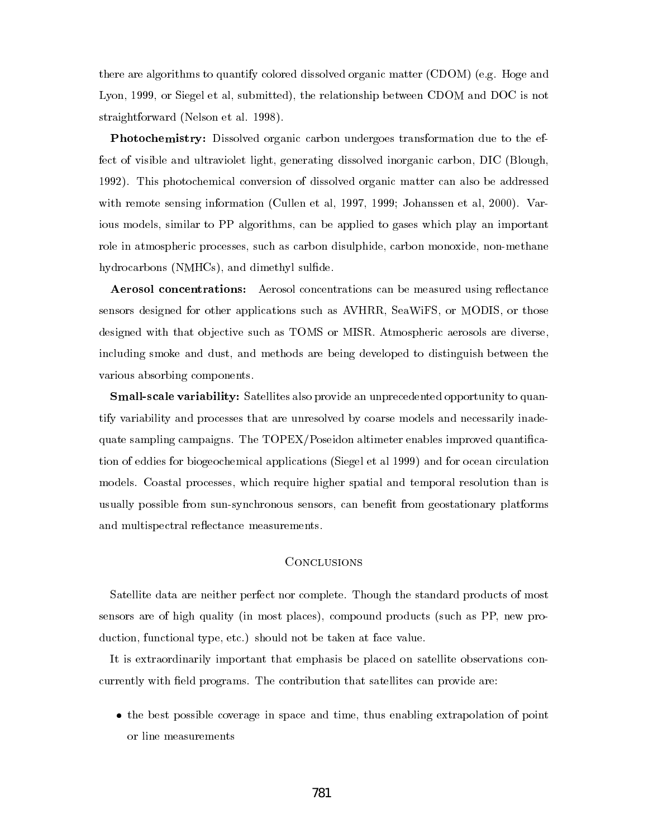there are algorithms to quantify colored dissolved organic matter (CDOM) (e.g. Hoge and Lyon, 1999, or Siegel et al, submitted), the relationship between CDOM and DOC is not straightforward (Nelson et al. 1998).

Photochemistry: Dissolved organic carbon undergoes transformation due to the effect of visible and ultraviolet light, generating dissolved inorganic carbon, DIC (Blough, 1992). This photochemical conversion of dissolved organic matter can also be addressed with remote sensing information (Cullen et al, 1997, 1999; Johanssen et al, 2000). Various models, similar to PP algorithms, can be applied to gases which play an important role in atmospheric processes, such as carbon disulphide, carbon monoxide, non-methane hydrocarbons (NMHCs), and dimethyl sulfide.

**Aerosol concentrations:** Aerosol concentrations can be measured using reflectance sensors designed for other applications such as AVHRR, SeaWiFS, or MODIS, or those designed with that objective such as TOMS or MISR. Atmospheric aerosols are diverse, including smoke and dust, and methods are being developed to distinguish between the various absorbing components.

**Small-scale variability:** Satellites also provide an unprecedented opportunity to quantify variability and processes that are unresolved by coarse models and necessarily inadequate sampling campaigns. The TOPEX/Poseidon altimeter enables improved quantication of eddies for biogeochemical applications (Siegel et al 1999) and for ocean circulation models. Coastal processes, which require higher spatial and temporal resolution than is usually possible from sun-synchronous sensors, can benefit from geostationary platforms and multispectral reflectance measurements.

## **CONCLUSIONS**

Satellite data are neither perfect nor complete. Though the standard products of most sensors are of high quality (in most places), compound products (such as PP, new production, functional type, etc.) should not be taken at face value.

It is extraordinarily important that emphasis be placed on satellite observations concurrently with field programs. The contribution that satellites can provide are:

 the best possible coverage in space and time, thus enabling extrapolation of point or line measurements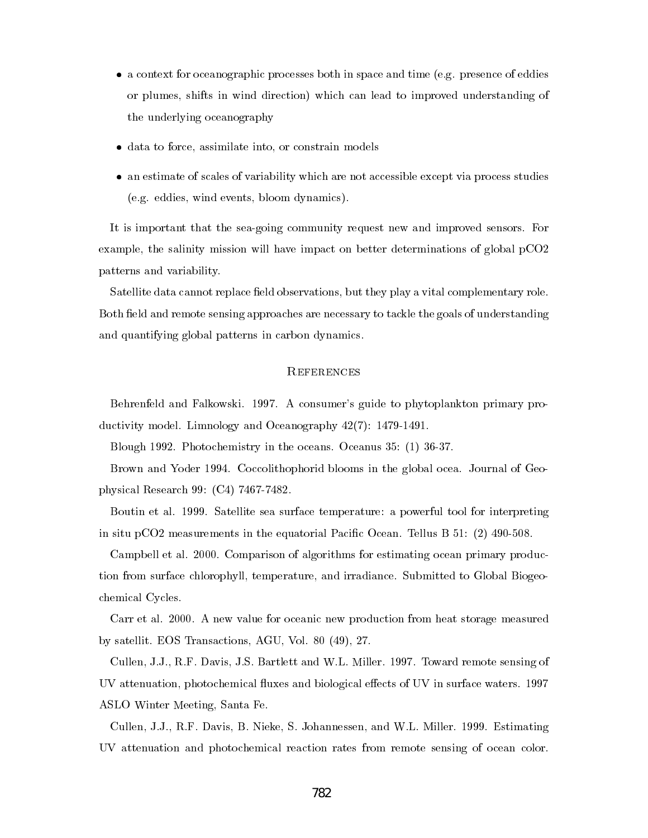- a context for oceanographic processes both in space and time (e.g. presence of eddies or plumes, shifts in wind direction) which can lead to improved understanding of the underlying oceanography
- data to force, assimilate into, or constraint models in models in the constraint models of  $\sim$
- an estimate of scales of variability which are not accessible except via process studies (e.g. eddies, wind events, bloom dynamics).

It is important that the sea-going community request new and improved sensors. For example, the salinity mission will have impact on better determinations of global pCO2 patterns and variability.

Satellite data cannot replace field observations, but they play a vital complementary role. Both field and remote sensing approaches are necessary to tackle the goals of understanding and quantifying global patterns in carbon dynamics.

# **REFERENCES**

Behrenfeld and Falkowski. 1997. A consumer's guide to phytoplankton primary productivity model. Limnology and Oceanography 42(7): 1479-1491.

Blough 1992. Photochemistry in the oceans. Oceanus 35: (1) 36-37.

Brown and Yoder 1994. Coccolithophorid blooms in the global ocea. Journal of Geophysical Research 99: (C4) 7467-7482.

Boutin et al. 1999. Satellite sea surface temperature: a powerful tool for interpreting in situ pCO2 measurements in the equatorial Pacic Ocean. Tellus B 51: (2) 490-508.

Campbell et al. 2000. Comparison of algorithms for estimating ocean primary production from surface chlorophyll, temperature, and irradiance. Submitted to Global Biogeochemical Cycles.

Carr et al. 2000. A new value for oceanic new production from heat storage measured by satellit. EOS Transactions, AGU, Vol. 80 (49), 27.

Cullen, J.J., R.F. Davis, J.S. Bartlett and W.L. Miller. 1997. Toward remote sensing of UV attenuation, photochemical fluxes and biological effects of UV in surface waters. 1997 ASLO Winter Meeting, Santa Fe.

Cullen, J.J., R.F. Davis, B. Nieke, S. Johannessen, and W.L. Miller. 1999. Estimating UV attenuation and photochemical reaction rates from remote sensing of ocean color.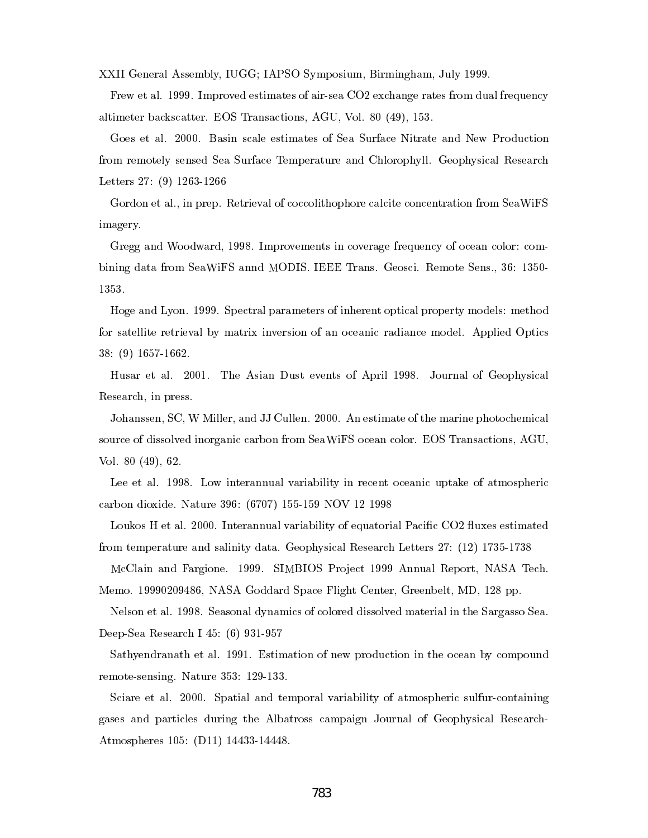XXII General Assembly, IUGG; IAPSO Symposium, Birmingham, July 1999.

Frew et al. 1999. Improved estimates of air-sea CO2 exchange rates from dual frequency altimeter backscatter. EOS Transactions, AGU, Vol. 80 (49), 153.

Goes et al. 2000. Basin scale estimates of Sea Surface Nitrate and New Production from remotely sensed Sea Surface Temperature and Chlorophyll. Geophysical Research Letters 27: (9) 1263-1266

Gordon et al., in prep. Retrieval of coccolithophore calcite concentration from SeaWiFS imagery.

Gregg and Woodward, 1998. Improvements in coverage frequency of ocean color: combining data from SeaWiFS annd MODIS. IEEE Trans. Geosci. Remote Sens., 36: 1350- 1353.

Hoge and Lyon. 1999. Spectral parameters of inherent optical property models: method for satellite retrieval by matrix inversion of an oceanic radiance model. Applied Optics 38: (9) 1657-1662.

Husar et al. 2001. The Asian Dust events of April 1998. Journal of Geophysical Research, in press.

Johanssen, SC, W Miller, and JJ Cullen. 2000. An estimate of the marine photochemical source of dissolved inorganic carbon from SeaWiFS ocean color. EOS Transactions, AGU, Vol. 80 (49), 62.

Lee et al. 1998. Low interannual variability in recent oceanic uptake of atmospheric carbon dioxide. Nature 396: (6707) 155-159 NOV 12 1998

Loukos H et al. 2000. Interannual variability of equatorial Pacific CO2 fluxes estimated from temperature and salinity data. Geophysical Research Letters 27: (12) 1735-1738

McClain and Fargione. 1999. SIMBIOS Project 1999 Annual Report, NASA Tech. Memo. 19990209486, NASA Goddard Space Flight Center, Greenbelt, MD, 128 pp.

Nelson et al. 1998. Seasonal dynamics of colored dissolved material in the Sargasso Sea. Deep-Sea Research I 45: (6) 931-957

Sathyendranath et al. 1991. Estimation of new production in the ocean by compound remote-sensing. Nature 353: 129-133.

Sciare et al. 2000. Spatial and temporal variability of atmospheric sulfur-containing gases and particles during the Albatross campaign Journal of Geophysical Research-Atmospheres 105: (D11) 14433-14448.